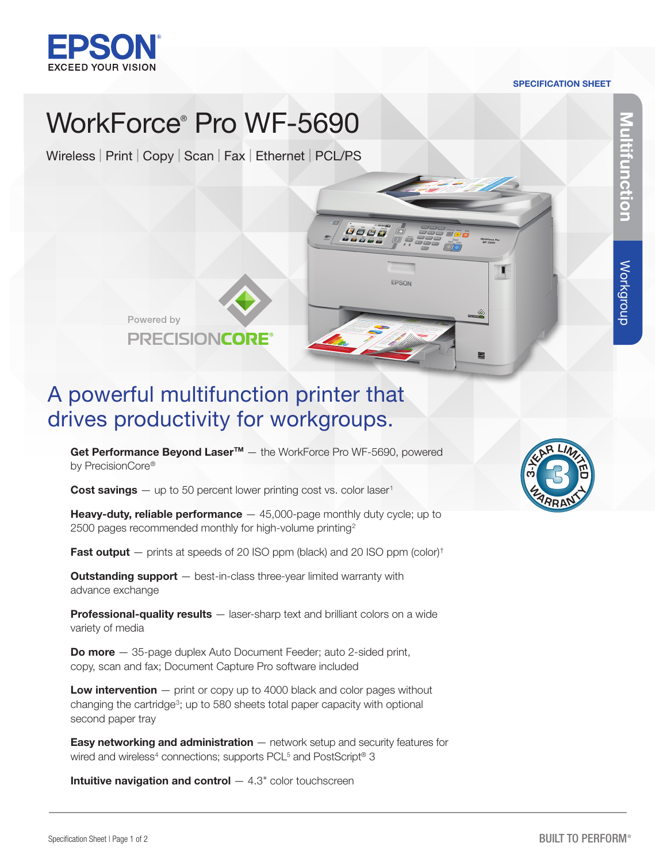

#### SPECIFICATION SHEET

# WorkForce® Pro WF-5690

Wireless | Print | Copy | Scan | Fax | Ethernet | PCL/PS



# A powerful multifunction printer that drives productivity for workgroups.

Get Performance Beyond Laser<sup>™</sup> – the WorkForce Pro WF-5690, powered by PrecisionCore®

**Cost savings**  $-$  up to 50 percent lower printing cost vs. color laser<sup>1</sup>

**Heavy-duty, reliable performance**  $-$  45,000-page monthly duty cycle; up to 2500 pages recommended monthly for high-volume printing<sup>2</sup>

**Fast output**  $-$  prints at speeds of 20 ISO ppm (black) and 20 ISO ppm (color)<sup>†</sup>

**Outstanding support** – best-in-class three-year limited warranty with advance exchange

Professional-quality results - laser-sharp text and brilliant colors on a wide variety of media

**Do more** - 35-page duplex Auto Document Feeder; auto 2-sided print, copy, scan and fax; Document Capture Pro software included

**Low intervention**  $-$  print or copy up to 4000 black and color pages without changing the cartridge<sup>3</sup>; up to 580 sheets total paper capacity with optional second paper tray

**Easy networking and administration**  $-$  network setup and security features for wired and wireless<sup>4</sup> connections; supports PCL<sup>5</sup> and PostScript® 3

**Intuitive navigation and control**  $-$  4.3" color touchscreen



Multifunction

**Itifunction** 

Workgroup

Workgroup